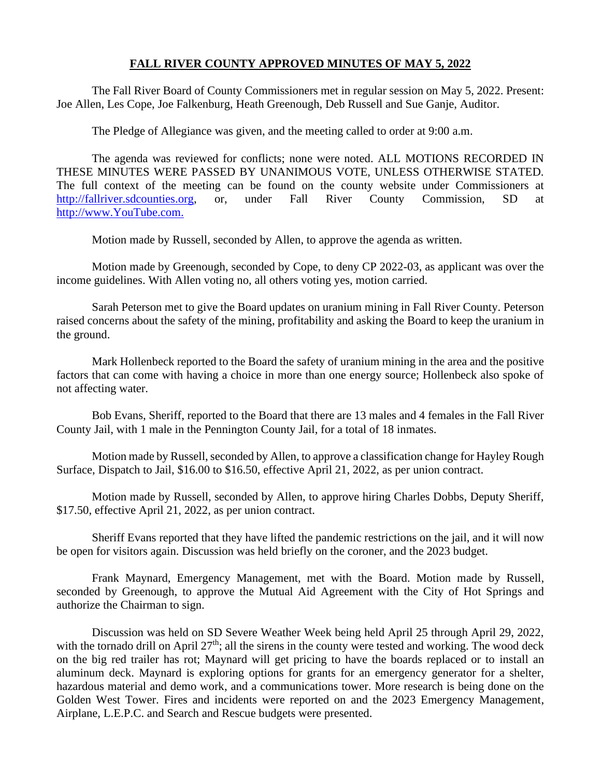## **FALL RIVER COUNTY APPROVED MINUTES OF MAY 5, 2022**

The Fall River Board of County Commissioners met in regular session on May 5, 2022. Present: Joe Allen, Les Cope, Joe Falkenburg, Heath Greenough, Deb Russell and Sue Ganje, Auditor.

The Pledge of Allegiance was given, and the meeting called to order at 9:00 a.m.

The agenda was reviewed for conflicts; none were noted. ALL MOTIONS RECORDED IN THESE MINUTES WERE PASSED BY UNANIMOUS VOTE, UNLESS OTHERWISE STATED. The full context of the meeting can be found on the county website under Commissioners at [http://fallriver.sdcounties.org,](http://fallriver.sdcounties.org/) or, under Fall River County Commission, SD at [http://www.YouTube.com.](http://www.youtube.com/)

Motion made by Russell, seconded by Allen, to approve the agenda as written.

Motion made by Greenough, seconded by Cope, to deny CP 2022-03, as applicant was over the income guidelines. With Allen voting no, all others voting yes, motion carried.

Sarah Peterson met to give the Board updates on uranium mining in Fall River County. Peterson raised concerns about the safety of the mining, profitability and asking the Board to keep the uranium in the ground.

Mark Hollenbeck reported to the Board the safety of uranium mining in the area and the positive factors that can come with having a choice in more than one energy source; Hollenbeck also spoke of not affecting water.

Bob Evans, Sheriff, reported to the Board that there are 13 males and 4 females in the Fall River County Jail, with 1 male in the Pennington County Jail, for a total of 18 inmates.

Motion made by Russell, seconded by Allen, to approve a classification change for Hayley Rough Surface, Dispatch to Jail, \$16.00 to \$16.50, effective April 21, 2022, as per union contract.

Motion made by Russell, seconded by Allen, to approve hiring Charles Dobbs, Deputy Sheriff, \$17.50, effective April 21, 2022, as per union contract.

Sheriff Evans reported that they have lifted the pandemic restrictions on the jail, and it will now be open for visitors again. Discussion was held briefly on the coroner, and the 2023 budget.

Frank Maynard, Emergency Management, met with the Board. Motion made by Russell, seconded by Greenough, to approve the Mutual Aid Agreement with the City of Hot Springs and authorize the Chairman to sign.

Discussion was held on SD Severe Weather Week being held April 25 through April 29, 2022, with the tornado drill on April  $27<sup>th</sup>$ ; all the sirens in the county were tested and working. The wood deck on the big red trailer has rot; Maynard will get pricing to have the boards replaced or to install an aluminum deck. Maynard is exploring options for grants for an emergency generator for a shelter, hazardous material and demo work, and a communications tower. More research is being done on the Golden West Tower. Fires and incidents were reported on and the 2023 Emergency Management, Airplane, L.E.P.C. and Search and Rescue budgets were presented.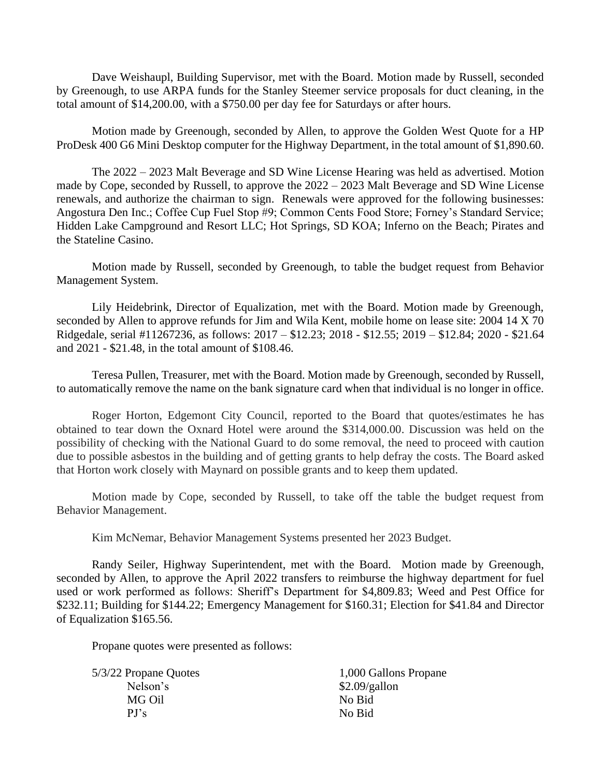Dave Weishaupl, Building Supervisor, met with the Board. Motion made by Russell, seconded by Greenough, to use ARPA funds for the Stanley Steemer service proposals for duct cleaning, in the total amount of \$14,200.00, with a \$750.00 per day fee for Saturdays or after hours.

Motion made by Greenough, seconded by Allen, to approve the Golden West Quote for a HP ProDesk 400 G6 Mini Desktop computer for the Highway Department, in the total amount of \$1,890.60.

The 2022 – 2023 Malt Beverage and SD Wine License Hearing was held as advertised. Motion made by Cope, seconded by Russell, to approve the 2022 – 2023 Malt Beverage and SD Wine License renewals, and authorize the chairman to sign. Renewals were approved for the following businesses: Angostura Den Inc.; Coffee Cup Fuel Stop #9; Common Cents Food Store; Forney's Standard Service; Hidden Lake Campground and Resort LLC; Hot Springs, SD KOA; Inferno on the Beach; Pirates and the Stateline Casino.

Motion made by Russell, seconded by Greenough, to table the budget request from Behavior Management System.

Lily Heidebrink, Director of Equalization, met with the Board. Motion made by Greenough, seconded by Allen to approve refunds for Jim and Wila Kent, mobile home on lease site: 2004 14 X 70 Ridgedale, serial #11267236, as follows: 2017 – \$12.23; 2018 - \$12.55; 2019 – \$12.84; 2020 - \$21.64 and 2021 - \$21.48, in the total amount of \$108.46.

Teresa Pullen, Treasurer, met with the Board. Motion made by Greenough, seconded by Russell, to automatically remove the name on the bank signature card when that individual is no longer in office.

Roger Horton, Edgemont City Council, reported to the Board that quotes/estimates he has obtained to tear down the Oxnard Hotel were around the \$314,000.00. Discussion was held on the possibility of checking with the National Guard to do some removal, the need to proceed with caution due to possible asbestos in the building and of getting grants to help defray the costs. The Board asked that Horton work closely with Maynard on possible grants and to keep them updated.

Motion made by Cope, seconded by Russell, to take off the table the budget request from Behavior Management.

Kim McNemar, Behavior Management Systems presented her 2023 Budget.

Randy Seiler, Highway Superintendent, met with the Board. Motion made by Greenough, seconded by Allen, to approve the April 2022 transfers to reimburse the highway department for fuel used or work performed as follows: Sheriff's Department for \$4,809.83; Weed and Pest Office for \$232.11; Building for \$144.22; Emergency Management for \$160.31; Election for \$41.84 and Director of Equalization \$165.56.

Propane quotes were presented as follows:

Nelson's \$2.09/gallon MG Oil No Bid PJ's No Bid

5/3/22 Propane Quotes 1,000 Gallons Propane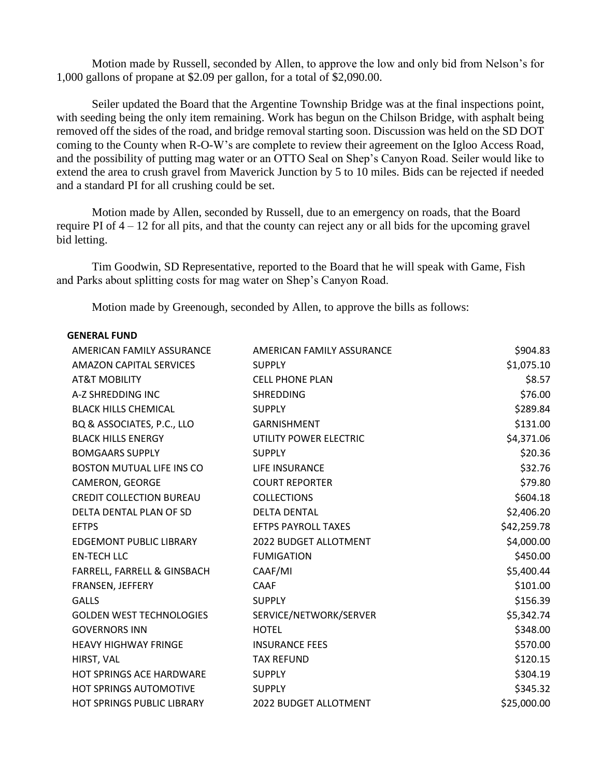Motion made by Russell, seconded by Allen, to approve the low and only bid from Nelson's for 1,000 gallons of propane at \$2.09 per gallon, for a total of \$2,090.00.

Seiler updated the Board that the Argentine Township Bridge was at the final inspections point, with seeding being the only item remaining. Work has begun on the Chilson Bridge, with asphalt being removed off the sides of the road, and bridge removal starting soon. Discussion was held on the SD DOT coming to the County when R-O-W's are complete to review their agreement on the Igloo Access Road, and the possibility of putting mag water or an OTTO Seal on Shep's Canyon Road. Seiler would like to extend the area to crush gravel from Maverick Junction by 5 to 10 miles. Bids can be rejected if needed and a standard PI for all crushing could be set.

Motion made by Allen, seconded by Russell, due to an emergency on roads, that the Board require PI of 4 – 12 for all pits, and that the county can reject any or all bids for the upcoming gravel bid letting.

Tim Goodwin, SD Representative, reported to the Board that he will speak with Game, Fish and Parks about splitting costs for mag water on Shep's Canyon Road.

Motion made by Greenough, seconded by Allen, to approve the bills as follows:

## **GENERAL FUND**

| AMERICAN FAMILY ASSURANCE         | AMERICAN FAMILY ASSURANCE    | \$904.83    |
|-----------------------------------|------------------------------|-------------|
| <b>AMAZON CAPITAL SERVICES</b>    | <b>SUPPLY</b>                | \$1,075.10  |
| <b>AT&amp;T MOBILITY</b>          | <b>CELL PHONE PLAN</b>       | \$8.57      |
| A-Z SHREDDING INC                 | <b>SHREDDING</b>             | \$76.00     |
| <b>BLACK HILLS CHEMICAL</b>       | <b>SUPPLY</b>                | \$289.84    |
| BQ & ASSOCIATES, P.C., LLO        | <b>GARNISHMENT</b>           | \$131.00    |
| <b>BLACK HILLS ENERGY</b>         | UTILITY POWER ELECTRIC       | \$4,371.06  |
| <b>BOMGAARS SUPPLY</b>            | <b>SUPPLY</b>                | \$20.36     |
| <b>BOSTON MUTUAL LIFE INS CO</b>  | LIFE INSURANCE               | \$32.76     |
| CAMERON, GEORGE                   | <b>COURT REPORTER</b>        | \$79.80     |
| <b>CREDIT COLLECTION BUREAU</b>   | <b>COLLECTIONS</b>           | \$604.18    |
| DELTA DENTAL PLAN OF SD           | <b>DELTA DENTAL</b>          | \$2,406.20  |
| <b>EFTPS</b>                      | <b>EFTPS PAYROLL TAXES</b>   | \$42,259.78 |
| <b>EDGEMONT PUBLIC LIBRARY</b>    | 2022 BUDGET ALLOTMENT        | \$4,000.00  |
| <b>EN-TECH LLC</b>                | <b>FUMIGATION</b>            | \$450.00    |
| FARRELL, FARRELL & GINSBACH       | CAAF/MI                      | \$5,400.44  |
| FRANSEN, JEFFERY                  | <b>CAAF</b>                  | \$101.00    |
| <b>GALLS</b>                      | <b>SUPPLY</b>                | \$156.39    |
| <b>GOLDEN WEST TECHNOLOGIES</b>   | SERVICE/NETWORK/SERVER       | \$5,342.74  |
| <b>GOVERNORS INN</b>              | <b>HOTEL</b>                 | \$348.00    |
| <b>HEAVY HIGHWAY FRINGE</b>       | <b>INSURANCE FEES</b>        | \$570.00    |
| HIRST, VAL                        | <b>TAX REFUND</b>            | \$120.15    |
| HOT SPRINGS ACE HARDWARE          | <b>SUPPLY</b>                | \$304.19    |
| <b>HOT SPRINGS AUTOMOTIVE</b>     | <b>SUPPLY</b>                | \$345.32    |
| <b>HOT SPRINGS PUBLIC LIBRARY</b> | <b>2022 BUDGET ALLOTMENT</b> | \$25,000.00 |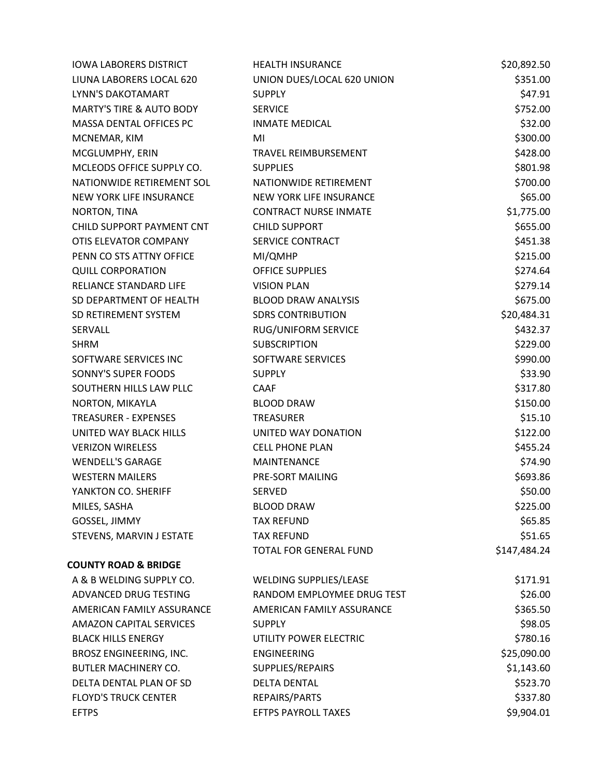| <b>IOWA LABORERS DISTRICT</b>       | <b>HEALTH INSURANCE</b>       | \$20,892.50  |
|-------------------------------------|-------------------------------|--------------|
| LIUNA LABORERS LOCAL 620            | UNION DUES/LOCAL 620 UNION    | \$351.00     |
| <b>LYNN'S DAKOTAMART</b>            | <b>SUPPLY</b>                 | \$47.91      |
| <b>MARTY'S TIRE &amp; AUTO BODY</b> | <b>SERVICE</b>                | \$752.00     |
| MASSA DENTAL OFFICES PC             | <b>INMATE MEDICAL</b>         | \$32.00      |
| MCNEMAR, KIM                        | MI                            | \$300.00     |
| MCGLUMPHY, ERIN                     | <b>TRAVEL REIMBURSEMENT</b>   | \$428.00     |
| MCLEODS OFFICE SUPPLY CO.           | <b>SUPPLIES</b>               | \$801.98     |
| NATIONWIDE RETIREMENT SOL           | NATIONWIDE RETIREMENT         | \$700.00     |
| NEW YORK LIFE INSURANCE             | NEW YORK LIFE INSURANCE       | \$65.00      |
| NORTON, TINA                        | <b>CONTRACT NURSE INMATE</b>  | \$1,775.00   |
| CHILD SUPPORT PAYMENT CNT           | <b>CHILD SUPPORT</b>          | \$655.00     |
| OTIS ELEVATOR COMPANY               | SERVICE CONTRACT              | \$451.38     |
| PENN CO STS ATTNY OFFICE            | MI/QMHP                       | \$215.00     |
| <b>QUILL CORPORATION</b>            | <b>OFFICE SUPPLIES</b>        | \$274.64     |
| RELIANCE STANDARD LIFE              | <b>VISION PLAN</b>            | \$279.14     |
| SD DEPARTMENT OF HEALTH             | <b>BLOOD DRAW ANALYSIS</b>    | \$675.00     |
| SD RETIREMENT SYSTEM                | <b>SDRS CONTRIBUTION</b>      | \$20,484.31  |
| SERVALL                             | <b>RUG/UNIFORM SERVICE</b>    | \$432.37     |
| <b>SHRM</b>                         | <b>SUBSCRIPTION</b>           | \$229.00     |
| SOFTWARE SERVICES INC               | SOFTWARE SERVICES             | \$990.00     |
| SONNY'S SUPER FOODS                 | <b>SUPPLY</b>                 | \$33.90      |
| SOUTHERN HILLS LAW PLLC             | <b>CAAF</b>                   | \$317.80     |
| NORTON, MIKAYLA                     | <b>BLOOD DRAW</b>             | \$150.00     |
| <b>TREASURER - EXPENSES</b>         | TREASURER                     | \$15.10      |
| UNITED WAY BLACK HILLS              | UNITED WAY DONATION           | \$122.00     |
| <b>VERIZON WIRELESS</b>             | <b>CELL PHONE PLAN</b>        | \$455.24     |
| <b>WENDELL'S GARAGE</b>             | MAINTENANCE                   | \$74.90      |
| <b>WESTERN MAILERS</b>              | PRE-SORT MAILING              | \$693.86     |
| YANKTON CO. SHERIFF                 | SERVED                        | \$50.00      |
| MILES, SASHA                        | <b>BLOOD DRAW</b>             | \$225.00     |
| GOSSEL, JIMMY                       | <b>TAX REFUND</b>             | \$65.85      |
| STEVENS, MARVIN J ESTATE            | <b>TAX REFUND</b>             | \$51.65      |
|                                     | TOTAL FOR GENERAL FUND        | \$147,484.24 |
| <b>COUNTY ROAD &amp; BRIDGE</b>     |                               |              |
| A & B WELDING SUPPLY CO.            | <b>WELDING SUPPLIES/LEASE</b> | \$171.91     |
| ADVANCED DRUG TESTING               | RANDOM EMPLOYMEE DRUG TEST    | \$26.00      |
| AMERICAN FAMILY ASSURANCE           | AMERICAN FAMILY ASSURANCE     | \$365.50     |
| <b>AMAZON CAPITAL SERVICES</b>      | <b>SUPPLY</b>                 | \$98.05      |
| <b>BLACK HILLS ENERGY</b>           | UTILITY POWER ELECTRIC        | \$780.16     |
| BROSZ ENGINEERING, INC.             | ENGINEERING                   | \$25,090.00  |
| <b>BUTLER MACHINERY CO.</b>         | SUPPLIES/REPAIRS              | \$1,143.60   |
| DELTA DENTAL PLAN OF SD             | <b>DELTA DENTAL</b>           | \$523.70     |
| <b>FLOYD'S TRUCK CENTER</b>         | REPAIRS/PARTS                 | \$337.80     |
| <b>EFTPS</b>                        | <b>EFTPS PAYROLL TAXES</b>    | \$9,904.01   |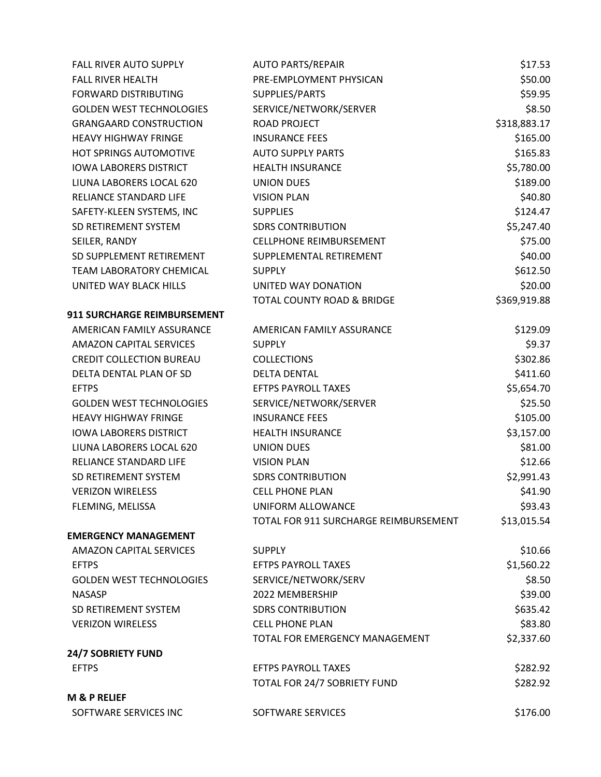| <b>AUTO PARTS/REPAIR</b>              | \$17.53      |
|---------------------------------------|--------------|
| PRE-EMPLOYMENT PHYSICAN               | \$50.00      |
| SUPPLIES/PARTS                        | \$59.95      |
| SERVICE/NETWORK/SERVER                | \$8.50       |
| <b>ROAD PROJECT</b>                   | \$318,883.17 |
| <b>INSURANCE FEES</b>                 | \$165.00     |
| <b>AUTO SUPPLY PARTS</b>              | \$165.83     |
| <b>HEALTH INSURANCE</b>               | \$5,780.00   |
| <b>UNION DUES</b>                     | \$189.00     |
| <b>VISION PLAN</b>                    | \$40.80      |
| <b>SUPPLIES</b>                       | \$124.47     |
| <b>SDRS CONTRIBUTION</b>              | \$5,247.40   |
| <b>CELLPHONE REIMBURSEMENT</b>        | \$75.00      |
| SUPPLEMENTAL RETIREMENT               | \$40.00      |
| <b>SUPPLY</b>                         | \$612.50     |
| UNITED WAY DONATION                   | \$20.00      |
| TOTAL COUNTY ROAD & BRIDGE            | \$369,919.88 |
|                                       |              |
| AMERICAN FAMILY ASSURANCE             | \$129.09     |
| <b>SUPPLY</b>                         | \$9.37       |
| <b>COLLECTIONS</b>                    | \$302.86     |
| <b>DELTA DENTAL</b>                   | \$411.60     |
| <b>EFTPS PAYROLL TAXES</b>            | \$5,654.70   |
| SERVICE/NETWORK/SERVER                | \$25.50      |
| <b>INSURANCE FEES</b>                 | \$105.00     |
| <b>HEALTH INSURANCE</b>               | \$3,157.00   |
| <b>UNION DUES</b>                     | \$81.00      |
| <b>VISION PLAN</b>                    | \$12.66      |
| <b>SDRS CONTRIBUTION</b>              | \$2,991.43   |
| <b>CELL PHONE PLAN</b>                | \$41.90      |
| UNIFORM ALLOWANCE                     | \$93.43      |
| TOTAL FOR 911 SURCHARGE REIMBURSEMENT | \$13,015.54  |
|                                       |              |
| <b>SUPPLY</b>                         | \$10.66      |
| <b>EFTPS PAYROLL TAXES</b>            | \$1,560.22   |
| SERVICE/NETWORK/SERV                  | \$8.50       |
| 2022 MEMBERSHIP                       | \$39.00      |
| <b>SDRS CONTRIBUTION</b>              | \$635.42     |
| <b>CELL PHONE PLAN</b>                | \$83.80      |
| TOTAL FOR EMERGENCY MANAGEMENT        | \$2,337.60   |
|                                       |              |
| <b>EFTPS PAYROLL TAXES</b>            | \$282.92     |
| TOTAL FOR 24/7 SOBRIETY FUND          | \$282.92     |
|                                       |              |
| SOFTWARE SERVICES                     | \$176.00     |
|                                       |              |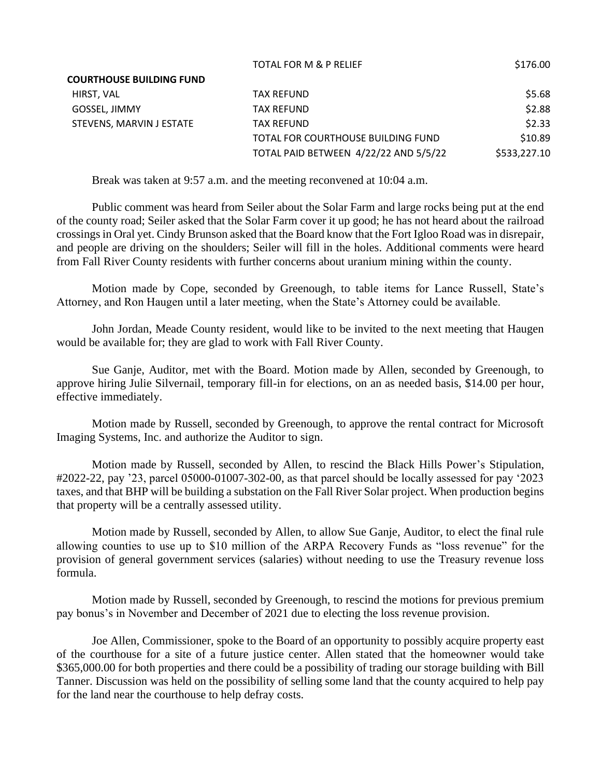|                                 | <b>TOTAL FOR M &amp; P RELIEF</b>     | \$176.00     |
|---------------------------------|---------------------------------------|--------------|
| <b>COURTHOUSE BUILDING FUND</b> |                                       |              |
| HIRST, VAL                      | TAX REFUND                            | \$5.68       |
| GOSSEL, JIMMY                   | <b>TAX REFUND</b>                     | \$2.88       |
| STEVENS, MARVIN J ESTATE        | <b>TAX REFUND</b>                     | \$2.33       |
|                                 | TOTAL FOR COURTHOUSE BUILDING FUND    | \$10.89      |
|                                 | TOTAL PAID BETWEEN 4/22/22 AND 5/5/22 | \$533,227.10 |

Break was taken at 9:57 a.m. and the meeting reconvened at 10:04 a.m.

Public comment was heard from Seiler about the Solar Farm and large rocks being put at the end of the county road; Seiler asked that the Solar Farm cover it up good; he has not heard about the railroad crossings in Oral yet. Cindy Brunson asked that the Board know that the Fort Igloo Road was in disrepair, and people are driving on the shoulders; Seiler will fill in the holes. Additional comments were heard from Fall River County residents with further concerns about uranium mining within the county.

Motion made by Cope, seconded by Greenough, to table items for Lance Russell, State's Attorney, and Ron Haugen until a later meeting, when the State's Attorney could be available.

John Jordan, Meade County resident, would like to be invited to the next meeting that Haugen would be available for; they are glad to work with Fall River County.

Sue Ganje, Auditor, met with the Board. Motion made by Allen, seconded by Greenough, to approve hiring Julie Silvernail, temporary fill-in for elections, on an as needed basis, \$14.00 per hour, effective immediately.

Motion made by Russell, seconded by Greenough, to approve the rental contract for Microsoft Imaging Systems, Inc. and authorize the Auditor to sign.

Motion made by Russell, seconded by Allen, to rescind the Black Hills Power's Stipulation, #2022-22, pay '23, parcel 05000-01007-302-00, as that parcel should be locally assessed for pay '2023 taxes, and that BHP will be building a substation on the Fall River Solar project. When production begins that property will be a centrally assessed utility.

Motion made by Russell, seconded by Allen, to allow Sue Ganje, Auditor, to elect the final rule allowing counties to use up to \$10 million of the ARPA Recovery Funds as "loss revenue" for the provision of general government services (salaries) without needing to use the Treasury revenue loss formula.

Motion made by Russell, seconded by Greenough, to rescind the motions for previous premium pay bonus's in November and December of 2021 due to electing the loss revenue provision.

Joe Allen, Commissioner, spoke to the Board of an opportunity to possibly acquire property east of the courthouse for a site of a future justice center. Allen stated that the homeowner would take \$365,000.00 for both properties and there could be a possibility of trading our storage building with Bill Tanner. Discussion was held on the possibility of selling some land that the county acquired to help pay for the land near the courthouse to help defray costs.